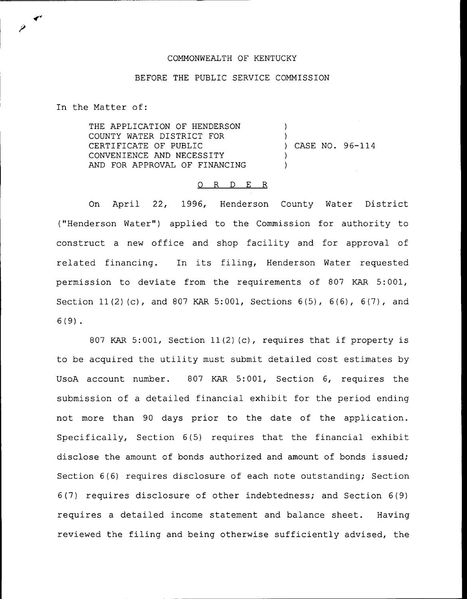## COMMONWEALTH OF KENTUCKY

## BEFORE THE PUBLIC SERVICE COMMISSION

In the Matter of:

THE APPLICATION OF HENDERSON COUNTY WATER DISTRICT FOR CERTIFICATE OF PUBLIC CONVENIENCE AND NECESSITY AND FOR APPROVAL OF FINANCING ) ) ) CASE NO. 96-114 ) )

## 0 R <sup>D</sup> E R

On April 22, 1996, Henderson County Water District ("Henderson Water") applied to the Commission for authority to construct a new office and shop facility and for approval of related financing. In its filing, Henderson Water requested permission to deviate from the requirements of 807 KAR 5:001, Section 11(2) (c), and 807 KAR 5:001, Sections 6(5), 6(6), 6(7), and 6(9) .

<sup>807</sup> KAR 5:001, Section 11(2) (c), requires that if property is to be acquired the utility must submit detailed cost estimates by UsoA account number. 807 KAR 5:001, Section 6, requires the submission of a detailed financial exhibit for the period ending not more than 90 days prior to the date of the application. Specifically, Section 6(5) requires that the financial exhibit disclose the amount of bonds authorized and amount of bonds issued; Section 6(6) requires disclosure of each note outstanding; Section 6(7) requires disclosure of other indebtedness; and Section 6(9) requires a detailed income statement and balance sheet. Having reviewed the filing and being otherwise sufficiently advised, the